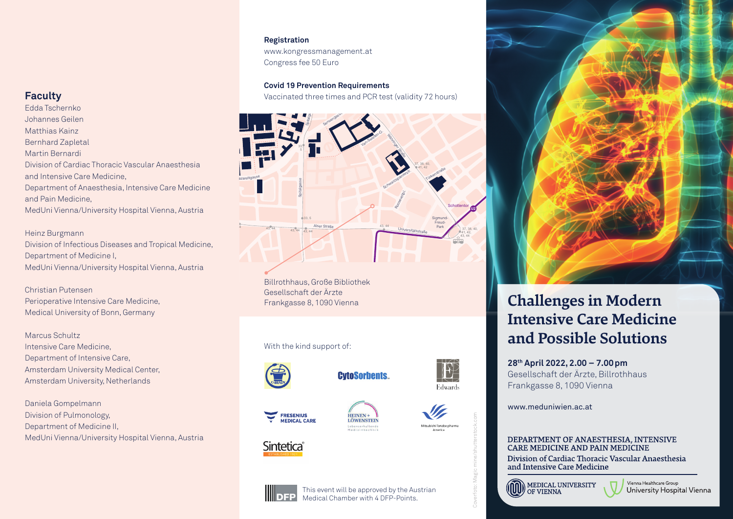#### **Registration**

Congress fee 50 Euro **Registration**<br>www.kongressmanagement.at

**Covid 19 Prevention Requirements**

Vaccinated three times and PCR test (validity 72 hours)



Billrothhaus, Große Bibliothek Gesellschaft der Ärzte Frankgasse 8, 1090 Vienna

#### With the kind support of:



Sintetica®

**FRESENIUS** 

**MEDICAL CARE** 

**CytoSorbents.** 



Coverfoto: Magic mine/shutterstock.com







# **Challenges in Modern Intensive Care Medicine and Possible Solutions**

**28th April 2022, 2.00 – 7.00pm** Gesellschaft der Ärzte, Billrothhaus Frankgasse 8, 1090 Vienna

www.meduniwien.ac.at

#### DEPARTMENT OF ANAESTHESIA, INTENSIVE **CARE MEDICINE AND PAIN MEDICINE**

Division of Cardiac Thoracic Vascular Anaesthesia and Intensive Care Medicine



#### Vienna Healthcare Group University Hospital Vienna

### **Faculty**

43 Department of Anaesthesia, Intensive Care Medicine Ar Anaestriesia<br>
ve Care Medicine<br>
Vienna, Austria<br>
Tropical Medicine,<br>
Vienna, Austria MedUni Vienna/University Hospital Vienna, Austria Edda Tschernko Johannes Geilen Matthias Kainz Bernhard Zapletal Martin Bernardi Division of Cardiac Thoracic Vascular Anaesthesia and Intensive Care Medicine, and Pain Medicine,

#### Heinz Burgmann

Division of Infectious Diseases and Tropical Medicine, Department of Medicine I, MedUni Vienna/University Hospital Vienna, Austria

Medical University of Bonn, Germany Perioperative Intensive Care Medicine, Christian Putensen

Marcus Schultz Intensive Care Medicine, Department of Intensive Care, Amsterdam University Medical Center, Amsterdam University, Netherlands

Daniela Gompelmann Division of Pulmonology, Department of Medicine II, MedUni Vienna/University Hospital Vienna, Austria